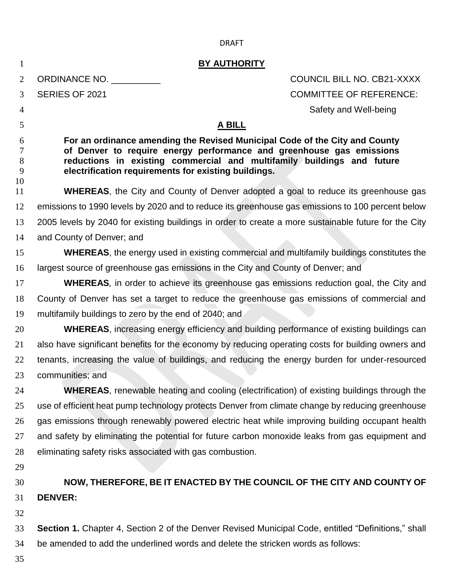| 1                      | <b>BY AUTHORITY</b>                                                                                                                                                                                                                                                                   |                                   |  |
|------------------------|---------------------------------------------------------------------------------------------------------------------------------------------------------------------------------------------------------------------------------------------------------------------------------------|-----------------------------------|--|
| 2                      | ORDINANCE NO.                                                                                                                                                                                                                                                                         | <b>COUNCIL BILL NO. CB21-XXXX</b> |  |
| 3                      | SERIES OF 2021                                                                                                                                                                                                                                                                        | <b>COMMITTEE OF REFERENCE:</b>    |  |
| 4                      |                                                                                                                                                                                                                                                                                       | Safety and Well-being             |  |
| 5                      | <b>A BILL</b>                                                                                                                                                                                                                                                                         |                                   |  |
| 6<br>7<br>8<br>9<br>10 | For an ordinance amending the Revised Municipal Code of the City and County<br>of Denver to require energy performance and greenhouse gas emissions<br>reductions in existing commercial and multifamily buildings and future<br>electrification requirements for existing buildings. |                                   |  |
| 11                     | <b>WHEREAS</b> , the City and County of Denver adopted a goal to reduce its greenhouse gas                                                                                                                                                                                            |                                   |  |
| 12                     | emissions to 1990 levels by 2020 and to reduce its greenhouse gas emissions to 100 percent below                                                                                                                                                                                      |                                   |  |
| 13                     | 2005 levels by 2040 for existing buildings in order to create a more sustainable future for the City                                                                                                                                                                                  |                                   |  |
| 14                     | and County of Denver; and                                                                                                                                                                                                                                                             |                                   |  |
| 15                     | <b>WHEREAS</b> , the energy used in existing commercial and multifamily buildings constitutes the                                                                                                                                                                                     |                                   |  |
| 16                     | largest source of greenhouse gas emissions in the City and County of Denver; and                                                                                                                                                                                                      |                                   |  |
| 17                     | <b>WHEREAS</b> , in order to achieve its greenhouse gas emissions reduction goal, the City and                                                                                                                                                                                        |                                   |  |
| 18                     | County of Denver has set a target to reduce the greenhouse gas emissions of commercial and                                                                                                                                                                                            |                                   |  |
| 19                     | multifamily buildings to zero by the end of 2040; and                                                                                                                                                                                                                                 |                                   |  |
| 20                     | <b>WHEREAS</b> , increasing energy efficiency and building performance of existing buildings can                                                                                                                                                                                      |                                   |  |
| 21                     | also have significant benefits for the economy by reducing operating costs for building owners and                                                                                                                                                                                    |                                   |  |
| 22                     | tenants, increasing the value of buildings, and reducing the energy burden for under-resourced                                                                                                                                                                                        |                                   |  |
| 23                     | communities; and                                                                                                                                                                                                                                                                      |                                   |  |
| 24                     | <b>WHEREAS</b> , renewable heating and cooling (electrification) of existing buildings through the                                                                                                                                                                                    |                                   |  |
| 25                     | use of efficient heat pump technology protects Denver from climate change by reducing greenhouse                                                                                                                                                                                      |                                   |  |
| 26                     | gas emissions through renewably powered electric heat while improving building occupant health                                                                                                                                                                                        |                                   |  |
| 27                     | and safety by eliminating the potential for future carbon monoxide leaks from gas equipment and                                                                                                                                                                                       |                                   |  |
| 28                     | eliminating safety risks associated with gas combustion.                                                                                                                                                                                                                              |                                   |  |
| 29                     |                                                                                                                                                                                                                                                                                       |                                   |  |
| 30                     | NOW, THEREFORE, BE IT ENACTED BY THE COUNCIL OF THE CITY AND COUNTY OF                                                                                                                                                                                                                |                                   |  |
| 31                     | <b>DENVER:</b>                                                                                                                                                                                                                                                                        |                                   |  |
| 32                     |                                                                                                                                                                                                                                                                                       |                                   |  |
| 33                     | <b>Section 1.</b> Chapter 4, Section 2 of the Denver Revised Municipal Code, entitled "Definitions," shall                                                                                                                                                                            |                                   |  |
| 34                     | be amended to add the underlined words and delete the stricken words as follows:                                                                                                                                                                                                      |                                   |  |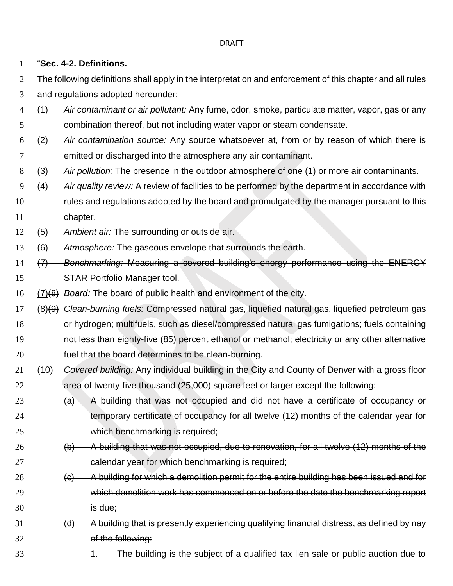"**Sec. 4-2. Definitions.**

2 The following definitions shall apply in the interpretation and enforcement of this chapter and all rules and regulations adopted hereunder:

- (1) *Air contaminant or air pollutant:* Any fume, odor, smoke, particulate matter, vapor, gas or any combination thereof, but not including water vapor or steam condensate.
- (2) *Air contamination source:* Any source whatsoever at, from or by reason of which there is emitted or discharged into the atmosphere any air contaminant.
- (3) *Air pollution:* The presence in the outdoor atmosphere of one (1) or more air contaminants.
- (4) *Air quality review:* A review of facilities to be performed by the department in accordance with rules and regulations adopted by the board and promulgated by the manager pursuant to this 11 chapter.
- (5) *Ambient air:* The surrounding or outside air.
- (6) *Atmosphere:* The gaseous envelope that surrounds the earth.
- (7) *Benchmarking:* Measuring a covered building's energy performance using the ENERGY STAR Portfolio Manager tool.
- (7)(8) *Board:* The board of public health and environment of the city.
- (8)(9) *Clean-burning fuels:* Compressed natural gas, liquefied natural gas, liquefied petroleum gas or hydrogen; multifuels, such as diesel/compressed natural gas fumigations; fuels containing not less than eighty-five (85) percent ethanol or methanol; electricity or any other alternative fuel that the board determines to be clean-burning.
- (10) *Covered building:* Any individual building in the City and County of Denver with a gross floor area of twenty-five thousand (25,000) square feet or larger except the following:
- (a) A building that was not occupied and did not have a certificate of occupancy or temporary certificate of occupancy for all twelve (12) months of the calendar year for which benchmarking is required;
- (b) A building that was not occupied, due to renovation, for all twelve (12) months of the 27 calendar year for which benchmarking is required;
- 28 (c) A building for which a demolition permit for the entire building has been issued and for which demolition work has commenced on or before the date the benchmarking report is due;
- 31 (d) A building that is presently experiencing qualifying financial distress, as defined by nay of the following:
- 33 1. The building is the subject of a qualified tax lien sale or public auction due to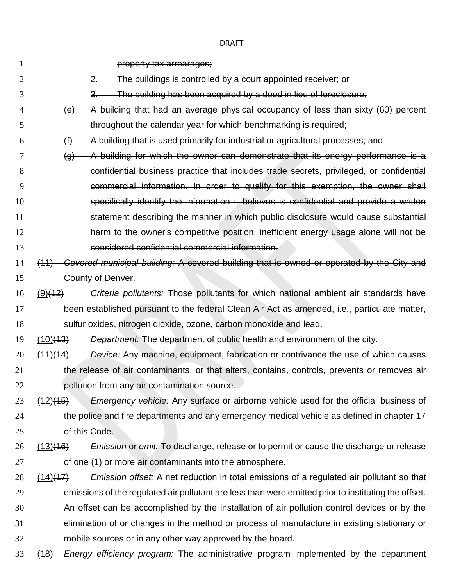**property tax arrearages;**  2. The buildings is controlled by a court appointed receiver; or 3. The building has been acquired by a deed in lieu of foreclosure; (e) A building that had an average physical occupancy of less than sixty (60) percent throughout the calendar year for which benchmarking is required; (f) A building that is used primarily for industrial or agricultural processes; and (g) A building for which the owner can demonstrate that its energy performance is a confidential business practice that includes trade secrets, privileged, or confidential commercial information. In order to qualify for this exemption, the owner shall specifically identify the information it believes is confidential and provide a written statement describing the manner in which public disclosure would cause substantial **harm to the owner's competitive position, inefficient energy usage alone will not be**  considered confidential commercial information. (11) *Covered municipal building:* A covered building that is owned or operated by the City and County of Denver. (9)(12) *Criteria pollutants:* Those pollutants for which national ambient air standards have been established pursuant to the federal Clean Air Act as amended, i.e., particulate matter, sulfur oxides, nitrogen dioxide, ozone, carbon monoxide and lead. (10)(13) *Department:* The department of public health and environment of the city. (11)(14) *Device:* Any machine, equipment, fabrication or contrivance the use of which causes the release of air contaminants, or that alters, contains, controls, prevents or removes air pollution from any air contamination source. (12)(15) *Emergency vehicle:* Any surface or airborne vehicle used for the official business of 24 the police and fire departments and any emergency medical vehicle as defined in chapter 17 of this Code. (13)(16) *Emission* or *emit:* To discharge, release or to permit or cause the discharge or release of one (1) or more air contaminants into the atmosphere. (14)(17) *Emission offset:* A net reduction in total emissions of a regulated air pollutant so that emissions of the regulated air pollutant are less than were emitted prior to instituting the offset. An offset can be accomplished by the installation of air pollution control devices or by the elimination of or changes in the method or process of manufacture in existing stationary or mobile sources or in any other way approved by the board. (18) *Energy efficiency program:* The administrative program implemented by the department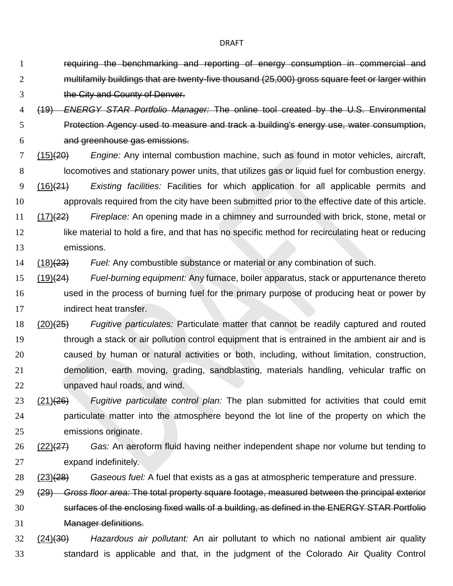- requiring the benchmarking and reporting of energy consumption in commercial and multifamily buildings that are twenty-five thousand (25,000) gross square feet or larger within the City and County of Denver.
- (19) *ENERGY STAR Portfolio Manager:* The online tool created by the U.S. Environmental Protection Agency used to measure and track a building's energy use, water consumption, and greenhouse gas emissions.
- (15)(20) *Engine:* Any internal combustion machine, such as found in motor vehicles, aircraft, locomotives and stationary power units, that utilizes gas or liquid fuel for combustion energy. (16)(21) *Existing facilities:* Facilities for which application for all applicable permits and
- approvals required from the city have been submitted prior to the effective date of this article.
- (17)(22) *Fireplace:* An opening made in a chimney and surrounded with brick, stone, metal or 12 like material to hold a fire, and that has no specific method for recirculating heat or reducing emissions.
- (18)(23) *Fuel:* Any combustible substance or material or any combination of such.
- (19)(24) *Fuel-burning equipment:* Any furnace, boiler apparatus, stack or appurtenance thereto used in the process of burning fuel for the primary purpose of producing heat or power by indirect heat transfer.
- (20)(25) *Fugitive particulates:* Particulate matter that cannot be readily captured and routed through a stack or air pollution control equipment that is entrained in the ambient air and is caused by human or natural activities or both, including, without limitation, construction, demolition, earth moving, grading, sandblasting, materials handling, vehicular traffic on unpaved haul roads, and wind.
- (21)(26) *Fugitive particulate control plan:* The plan submitted for activities that could emit particulate matter into the atmosphere beyond the lot line of the property on which the emissions originate.
- (22)(27) *Gas:* An aeroform fluid having neither independent shape nor volume but tending to expand indefinitely.
- (23)(28) *Gaseous fuel:* A fuel that exists as a gas at atmospheric temperature and pressure.
- (29) *Gross floor area:* The total property square footage, measured between the principal exterior surfaces of the enclosing fixed walls of a building, as defined in the ENERGY STAR Portfolio Manager definitions.
- (24)(30) *Hazardous air pollutant:* An air pollutant to which no national ambient air quality standard is applicable and that, in the judgment of the Colorado Air Quality Control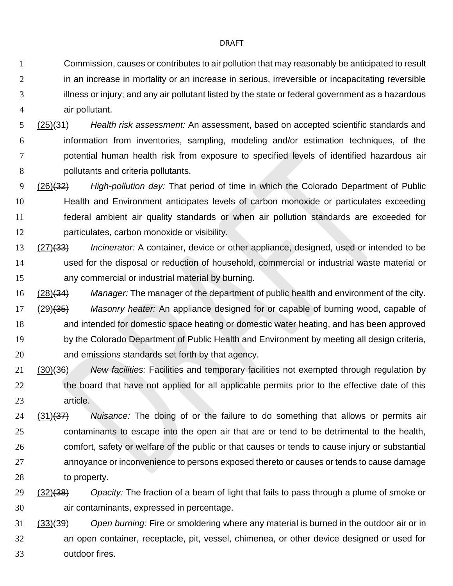Commission, causes or contributes to air pollution that may reasonably be anticipated to result 2 in an increase in mortality or an increase in serious, irreversible or incapacitating reversible illness or injury; and any air pollutant listed by the state or federal government as a hazardous air pollutant.

 (25)(31) *Health risk assessment:* An assessment, based on accepted scientific standards and information from inventories, sampling, modeling and/or estimation techniques, of the potential human health risk from exposure to specified levels of identified hazardous air pollutants and criteria pollutants.

 (26)(32) *High-pollution day:* That period of time in which the Colorado Department of Public Health and Environment anticipates levels of carbon monoxide or particulates exceeding federal ambient air quality standards or when air pollution standards are exceeded for particulates, carbon monoxide or visibility.

- (27)(33) *Incinerator:* A container, device or other appliance, designed, used or intended to be used for the disposal or reduction of household, commercial or industrial waste material or any commercial or industrial material by burning.
- (28)(34) *Manager:* The manager of the department of public health and environment of the city. (29)(35) *Masonry heater:* An appliance designed for or capable of burning wood, capable of and intended for domestic space heating or domestic water heating, and has been approved by the Colorado Department of Public Health and Environment by meeting all design criteria, and emissions standards set forth by that agency.
- (30)(36) *New facilities:* Facilities and temporary facilities not exempted through regulation by 22 the board that have not applied for all applicable permits prior to the effective date of this article.
- (31)(37) *Nuisance:* The doing of or the failure to do something that allows or permits air contaminants to escape into the open air that are or tend to be detrimental to the health, comfort, safety or welfare of the public or that causes or tends to cause injury or substantial annoyance or inconvenience to persons exposed thereto or causes or tends to cause damage to property.
- (32)(38) *Opacity:* The fraction of a beam of light that fails to pass through a plume of smoke or air contaminants, expressed in percentage.
- (33)(39) *Open burning:* Fire or smoldering where any material is burned in the outdoor air or in an open container, receptacle, pit, vessel, chimenea, or other device designed or used for outdoor fires.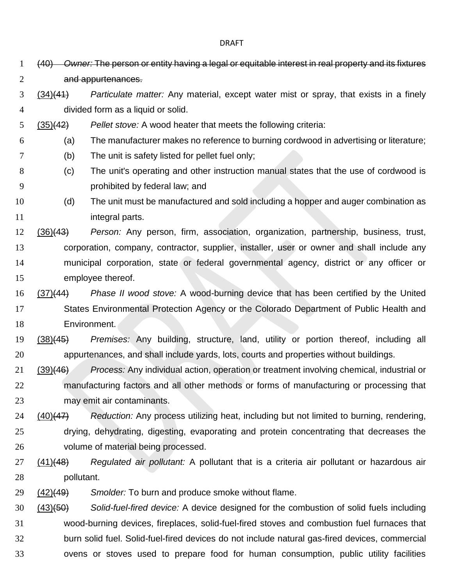(40) *Owner:* The person or entity having a legal or equitable interest in real property and its fixtures and appurtenances. (34)(41) *Particulate matter:* Any material, except water mist or spray, that exists in a finely divided form as a liquid or solid. (35)(42) *Pellet stove:* A wood heater that meets the following criteria: (a) The manufacturer makes no reference to burning cordwood in advertising or literature; (b) The unit is safety listed for pellet fuel only; (c) The unit's operating and other instruction manual states that the use of cordwood is prohibited by federal law; and (d) The unit must be manufactured and sold including a hopper and auger combination as **integral parts.**  (36)(43) *Person:* Any person, firm, association, organization, partnership, business, trust, corporation, company, contractor, supplier, installer, user or owner and shall include any municipal corporation, state or federal governmental agency, district or any officer or employee thereof. (37)(44) *Phase II wood stove:* A wood-burning device that has been certified by the United States Environmental Protection Agency or the Colorado Department of Public Health and Environment. (38)(45) *Premises:* Any building, structure, land, utility or portion thereof, including all appurtenances, and shall include yards, lots, courts and properties without buildings. (39)(46) *Process:* Any individual action, operation or treatment involving chemical, industrial or manufacturing factors and all other methods or forms of manufacturing or processing that may emit air contaminants. (40)(47) *Reduction:* Any process utilizing heat, including but not limited to burning, rendering, drying, dehydrating, digesting, evaporating and protein concentrating that decreases the volume of material being processed. (41)(48) *Regulated air pollutant:* A pollutant that is a criteria air pollutant or hazardous air pollutant. (42)(49) *Smolder:* To burn and produce smoke without flame. (43)(50) *Solid-fuel-fired device:* A device designed for the combustion of solid fuels including wood-burning devices, fireplaces, solid-fuel-fired stoves and combustion fuel furnaces that burn solid fuel. Solid-fuel-fired devices do not include natural gas-fired devices, commercial ovens or stoves used to prepare food for human consumption, public utility facilities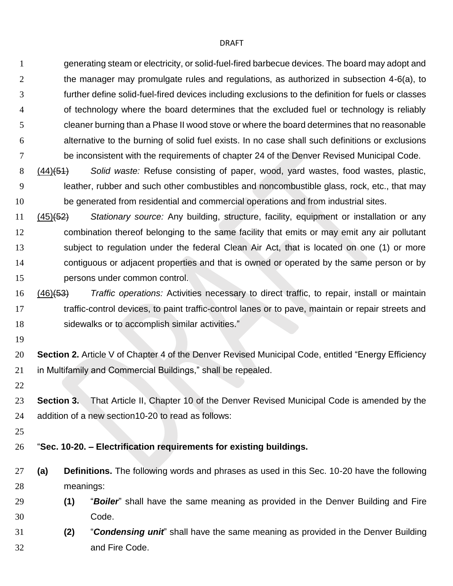generating steam or electricity, or solid-fuel-fired barbecue devices. The board may adopt and the manager may promulgate rules and regulations, as authorized in subsection 4-6(a), to further define solid-fuel-fired devices including exclusions to the definition for fuels or classes of technology where the board determines that the excluded fuel or technology is reliably cleaner burning than a Phase II wood stove or where the board determines that no reasonable alternative to the burning of solid fuel exists. In no case shall such definitions or exclusions 7 be inconsistent with the requirements of chapter 24 of the Denver Revised Municipal Code.

- (44)(51) *Solid waste:* Refuse consisting of paper, wood, yard wastes, food wastes, plastic, leather, rubber and such other combustibles and noncombustible glass, rock, etc., that may be generated from residential and commercial operations and from industrial sites.
- (45)(52) *Stationary source:* Any building, structure, facility, equipment or installation or any combination thereof belonging to the same facility that emits or may emit any air pollutant subject to regulation under the federal Clean Air Act, that is located on one (1) or more contiguous or adjacent properties and that is owned or operated by the same person or by persons under common control.
- (46)(53) *Traffic operations:* Activities necessary to direct traffic, to repair, install or maintain traffic-control devices, to paint traffic-control lanes or to pave, maintain or repair streets and sidewalks or to accomplish similar activities."
- 
- **Section 2.** Article V of Chapter 4 of the Denver Revised Municipal Code, entitled "Energy Efficiency in Multifamily and Commercial Buildings," shall be repealed.
- 
- **Section 3.** That Article II, Chapter 10 of the Denver Revised Municipal Code is amended by the addition of a new section10-20 to read as follows:
- 

## "**Sec. 10-20. – Electrification requirements for existing buildings.**

- **(a) Definitions.** The following words and phrases as used in this Sec. 10-20 have the following meanings:
- **(1)** "*Boiler*" shall have the same meaning as provided in the Denver Building and Fire Code.
- **(2)** "*Condensing unit*" shall have the same meaning as provided in the Denver Building and Fire Code.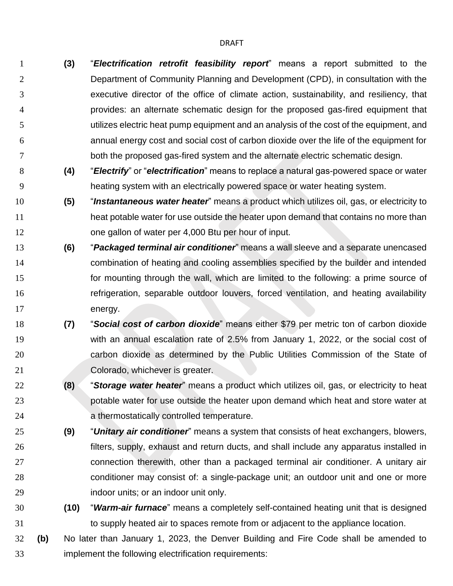- **(3)** "*Electrification retrofit feasibility report*" means a report submitted to the Department of Community Planning and Development (CPD), in consultation with the executive director of the office of climate action, sustainability, and resiliency, that provides: an alternate schematic design for the proposed gas-fired equipment that utilizes electric heat pump equipment and an analysis of the cost of the equipment, and annual energy cost and social cost of carbon dioxide over the life of the equipment for both the proposed gas-fired system and the alternate electric schematic design.
- **(4)** "*Electrify*" or "*electrification*" means to replace a natural gas-powered space or water heating system with an electrically powered space or water heating system.
- **(5)** "*Instantaneous water heater*" means a product which utilizes oil, gas, or electricity to heat potable water for use outside the heater upon demand that contains no more than one gallon of water per 4,000 Btu per hour of input.
- **(6)** "*Packaged terminal air conditioner*" means a wall sleeve and a separate unencased combination of heating and cooling assemblies specified by the builder and intended for mounting through the wall, which are limited to the following: a prime source of refrigeration, separable outdoor louvers, forced ventilation, and heating availability energy.
- **(7)** "*Social cost of carbon dioxide*" means either \$79 per metric ton of carbon dioxide with an annual escalation rate of 2.5% from January 1, 2022, or the social cost of carbon dioxide as determined by the Public Utilities Commission of the State of 21 Colorado, whichever is greater.
- **(8)** "*Storage water heater*" means a product which utilizes oil, gas, or electricity to heat potable water for use outside the heater upon demand which heat and store water at a thermostatically controlled temperature.
- **(9)** "*Unitary air conditioner*" means a system that consists of heat exchangers, blowers, filters, supply, exhaust and return ducts, and shall include any apparatus installed in connection therewith, other than a packaged terminal air conditioner. A unitary air conditioner may consist of: a single-package unit; an outdoor unit and one or more indoor units; or an indoor unit only.
- **(10)** "*Warm-air furnace*" means a completely self-contained heating unit that is designed to supply heated air to spaces remote from or adjacent to the appliance location.
- **(b)** No later than January 1, 2023, the Denver Building and Fire Code shall be amended to implement the following electrification requirements: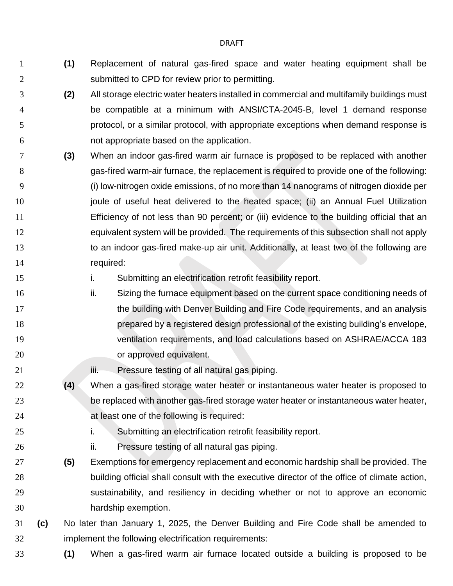- **(1)** Replacement of natural gas-fired space and water heating equipment shall be submitted to CPD for review prior to permitting.
- **(2)** All storage electric water heaters installed in commercial and multifamily buildings must be compatible at a minimum with ANSI/CTA-2045-B, level 1 demand response protocol, or a similar protocol, with appropriate exceptions when demand response is not appropriate based on the application.
- **(3)** When an indoor gas-fired warm air furnace is proposed to be replaced with another gas-fired warm-air furnace, the replacement is required to provide one of the following: (i) low-nitrogen oxide emissions, of no more than 14 nanograms of nitrogen dioxide per 10 interior is puller of useful heat delivered to the heated space; (ii) an Annual Fuel Utilization Efficiency of not less than 90 percent; or (iii) evidence to the building official that an equivalent system will be provided. The requirements of this subsection shall not apply 13 to an indoor gas-fired make-up air unit. Additionally, at least two of the following are 14 required:
- i. Submitting an electrification retrofit feasibility report.
- 16 ii. Sizing the furnace equipment based on the current space conditioning needs of 17 the building with Denver Building and Fire Code requirements, and an analysis prepared by a registered design professional of the existing building's envelope, ventilation requirements, and load calculations based on ASHRAE/ACCA 183 **b** or approved equivalent.
- **iii.** Pressure testing of all natural gas piping.
- **(4)** When a gas-fired storage water heater or instantaneous water heater is proposed to be replaced with another gas-fired storage water heater or instantaneous water heater, **at least one of the following is required:**
- 
- i. Submitting an electrification retrofit feasibility report.
- ii. Pressure testing of all natural gas piping.
- **(5)** Exemptions for emergency replacement and economic hardship shall be provided. The building official shall consult with the executive director of the office of climate action, sustainability, and resiliency in deciding whether or not to approve an economic hardship exemption.
- **(c)** No later than January 1, 2025, the Denver Building and Fire Code shall be amended to implement the following electrification requirements:
- **(1)** When a gas-fired warm air furnace located outside a building is proposed to be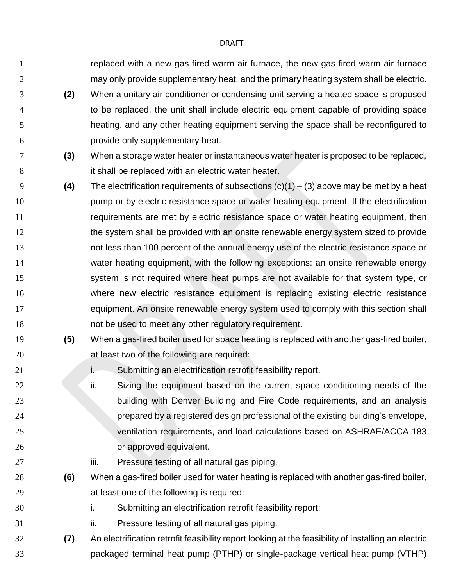replaced with a new gas-fired warm air furnace, the new gas-fired warm air furnace 2 may only provide supplementary heat, and the primary heating system shall be electric.

- **(2)** When a unitary air conditioner or condensing unit serving a heated space is proposed to be replaced, the unit shall include electric equipment capable of providing space heating, and any other heating equipment serving the space shall be reconfigured to provide only supplementary heat.
- **(3)** When a storage water heater or instantaneous water heater is proposed to be replaced, 8 it shall be replaced with an electric water heater.
- **(4)** The electrification requirements of subsections (c)(1) (3) above may be met by a heat 10 pump or by electric resistance space or water heating equipment. If the electrification requirements are met by electric resistance space or water heating equipment, then 12 the system shall be provided with an onsite renewable energy system sized to provide not less than 100 percent of the annual energy use of the electric resistance space or water heating equipment, with the following exceptions: an onsite renewable energy system is not required where heat pumps are not available for that system type, or where new electric resistance equipment is replacing existing electric resistance equipment. An onsite renewable energy system used to comply with this section shall not be used to meet any other regulatory requirement.
- **(5)** When a gas-fired boiler used for space heating is replaced with another gas-fired boiler, at least two of the following are required:
- **i.** Submitting an electrification retrofit feasibility report.
- 22 ii. Sizing the equipment based on the current space conditioning needs of the building with Denver Building and Fire Code requirements, and an analysis prepared by a registered design professional of the existing building's envelope, ventilation requirements, and load calculations based on ASHRAE/ACCA 183 or approved equivalent.
- **iii.** Pressure testing of all natural gas piping.
- **(6)** When a gas-fired boiler used for water heating is replaced with another gas-fired boiler, at least one of the following is required:
- i. Submitting an electrification retrofit feasibility report;
- ii. Pressure testing of all natural gas piping.
- **(7)** An electrification retrofit feasibility report looking at the feasibility of installing an electric packaged terminal heat pump (PTHP) or single-package vertical heat pump (VTHP)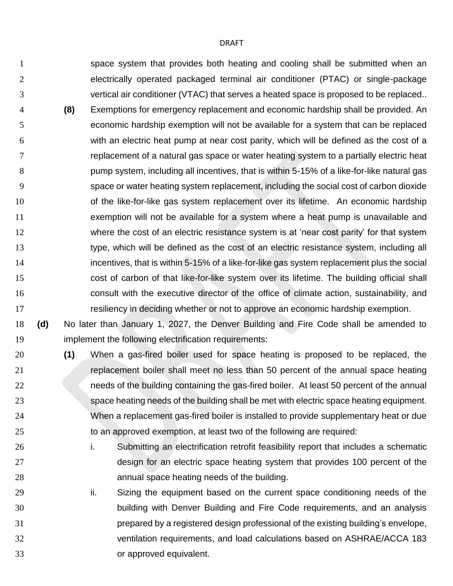space system that provides both heating and cooling shall be submitted when an electrically operated packaged terminal air conditioner (PTAC) or single-package vertical air conditioner (VTAC) that serves a heated space is proposed to be replaced.. **(8)** Exemptions for emergency replacement and economic hardship shall be provided. An economic hardship exemption will not be available for a system that can be replaced with an electric heat pump at near cost parity, which will be defined as the cost of a replacement of a natural gas space or water heating system to a partially electric heat pump system, including all incentives, that is within 5-15% of a like-for-like natural gas space or water heating system replacement, including the social cost of carbon dioxide **10** of the like-for-like gas system replacement over its lifetime. An economic hardship exemption will not be available for a system where a heat pump is unavailable and where the cost of an electric resistance system is at 'near cost parity' for that system 13 type, which will be defined as the cost of an electric resistance system, including all incentives, that is within 5-15% of a like-for-like gas system replacement plus the social cost of carbon of that like-for-like system over its lifetime. The building official shall consult with the executive director of the office of climate action, sustainability, and resiliency in deciding whether or not to approve an economic hardship exemption.

- **(d)** No later than January 1, 2027, the Denver Building and Fire Code shall be amended to implement the following electrification requirements:
- **(1)** When a gas-fired boiler used for space heating is proposed to be replaced, the replacement boiler shall meet no less than 50 percent of the annual space heating 22 needs of the building containing the gas-fired boiler. At least 50 percent of the annual space heating needs of the building shall be met with electric space heating equipment. When a replacement gas-fired boiler is installed to provide supplementary heat or due to an approved exemption, at least two of the following are required:
- i. Submitting an electrification retrofit feasibility report that includes a schematic design for an electric space heating system that provides 100 percent of the annual space heating needs of the building.
- 29 ii. Sizing the equipment based on the current space conditioning needs of the building with Denver Building and Fire Code requirements, and an analysis prepared by a registered design professional of the existing building's envelope, ventilation requirements, and load calculations based on ASHRAE/ACCA 183 or approved equivalent.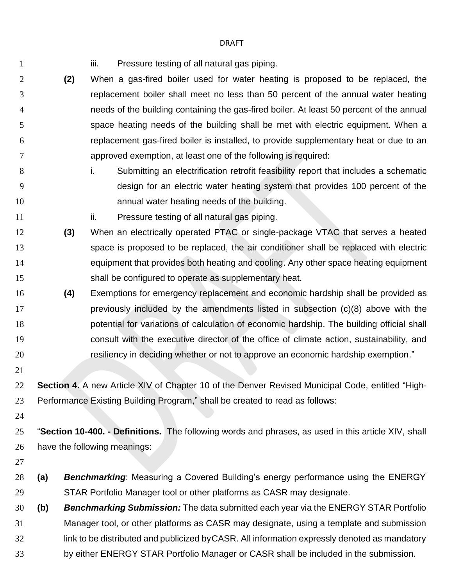1 iii. Pressure testing of all natural gas piping.

- **(2)** When a gas-fired boiler used for water heating is proposed to be replaced, the replacement boiler shall meet no less than 50 percent of the annual water heating needs of the building containing the gas-fired boiler. At least 50 percent of the annual space heating needs of the building shall be met with electric equipment. When a replacement gas-fired boiler is installed, to provide supplementary heat or due to an approved exemption, at least one of the following is required: 8 i. Submitting an electrification retrofit feasibility report that includes a schematic design for an electric water heating system that provides 100 percent of the annual water heating needs of the building. **ii.** Pressure testing of all natural gas piping. **(3)** When an electrically operated PTAC or single-package VTAC that serves a heated space is proposed to be replaced, the air conditioner shall be replaced with electric equipment that provides both heating and cooling. Any other space heating equipment shall be configured to operate as supplementary heat. **(4)** Exemptions for emergency replacement and economic hardship shall be provided as **previously included by the amendments listed in subsection (c)(8) above with the**  potential for variations of calculation of economic hardship. The building official shall consult with the executive director of the office of climate action, sustainability, and resiliency in deciding whether or not to approve an economic hardship exemption." **Section 4.** A new Article XIV of Chapter 10 of the Denver Revised Municipal Code, entitled "High- Performance Existing Building Program," shall be created to read as follows: "**Section 10-400. - Definitions.** The following words and phrases, as used in this article XIV, shall have the following meanings: **(a)** *Benchmarking*: Measuring a Covered Building's energy performance using the ENERGY STAR Portfolio Manager tool or other platforms as CASR may designate. **(b)** *Benchmarking Submission:* The data submitted each year via the ENERGY STAR Portfolio Manager tool, or other platforms as CASR may designate, using a template and submission link to be distributed and publicized byCASR. All information expressly denoted as mandatory
	- by either ENERGY STAR Portfolio Manager or CASR shall be included in the submission.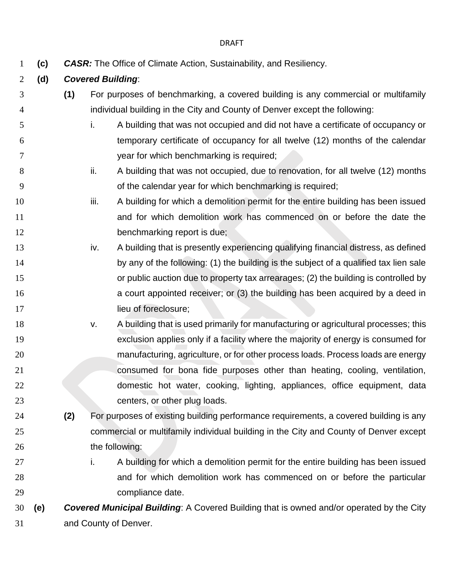- **(c)** *CASR:* The Office of Climate Action, Sustainability, and Resiliency.
- **(d)** *Covered Building*:
- **(1)** For purposes of benchmarking, a covered building is any commercial or multifamily individual building in the City and County of Denver except the following:
- i. A building that was not occupied and did not have a certificate of occupancy or temporary certificate of occupancy for all twelve (12) months of the calendar year for which benchmarking is required;
- 8 ii. A building that was not occupied, due to renovation, for all twelve (12) months of the calendar year for which benchmarking is required;
- 10 iii. A building for which a demolition permit for the entire building has been issued and for which demolition work has commenced on or before the date the 12 benchmarking report is due;
- 13 iv. A building that is presently experiencing qualifying financial distress, as defined 14 by any of the following: (1) the building is the subject of a qualified tax lien sale or public auction due to property tax arrearages; (2) the building is controlled by a court appointed receiver; or (3) the building has been acquired by a deed in 17 lieu of foreclosure;
- 18 v. A building that is used primarily for manufacturing or agricultural processes; this exclusion applies only if a facility where the majority of energy is consumed for manufacturing, agriculture, or for other process loads. Process loads are energy consumed for bona fide purposes other than heating, cooling, ventilation, domestic hot water, cooking, lighting, appliances, office equipment, data 23 centers, or other plug loads.
- **(2)** For purposes of existing building performance requirements, a covered building is any commercial or multifamily individual building in the City and County of Denver except 26 the following:
- 27 i. A building for which a demolition permit for the entire building has been issued and for which demolition work has commenced on or before the particular compliance date.

 **(e)** *Covered Municipal Building*: A Covered Building that is owned and/or operated by the City and County of Denver.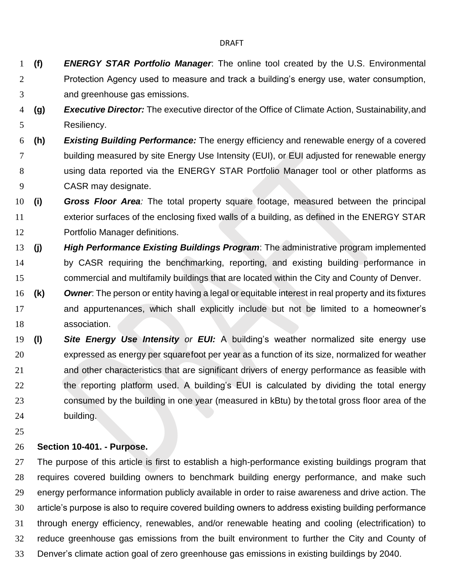- **(f)** *ENERGY STAR Portfolio Manager*: The online tool created by the U.S. Environmental Protection Agency used to measure and track a building's energy use, water consumption, and greenhouse gas emissions.
- **(g)** *Executive Director:* The executive director of the Office of Climate Action, Sustainability,and Resiliency.
- **(h)** *Existing Building Performance:* The energy efficiency and renewable energy of a covered building measured by site Energy Use Intensity (EUI), or EUI adjusted for renewable energy using data reported via the ENERGY STAR Portfolio Manager tool or other platforms as CASR may designate.
- **(i)** *Gross Floor Area:* The total property square footage, measured between the principal exterior surfaces of the enclosing fixed walls of a building, as defined in the ENERGY STAR Portfolio Manager definitions.
- **(j)** *High Performance Existing Buildings Program*: The administrative program implemented by CASR requiring the benchmarking, reporting, and existing building performance in commercial and multifamily buildings that are located within the City and County of Denver.
- **(k)** *Owner*: The person or entity having a legal or equitable interest in real property and its fixtures and appurtenances, which shall explicitly include but not be limited to a homeowner's association.
- **(l)** *Site Energy Use Intensity or EUI:* A building's weather normalized site energy use expressed as energy per squarefoot per year as a function of its size, normalized for weather and other characteristics that are significant drivers of energy performance as feasible with the reporting platform used. A building's EUI is calculated by dividing the total energy consumed by the building in one year (measured in kBtu) by thetotal gross floor area of the building.
- 

## **Section 10-401. - Purpose.**

 The purpose of this article is first to establish a high-performance existing buildings program that requires covered building owners to benchmark building energy performance, and make such energy performance information publicly available in order to raise awareness and drive action. The article's purpose is also to require covered building owners to address existing building performance through energy efficiency, renewables, and/or renewable heating and cooling (electrification) to reduce greenhouse gas emissions from the built environment to further the City and County of Denver's climate action goal of zero greenhouse gas emissions in existing buildings by 2040.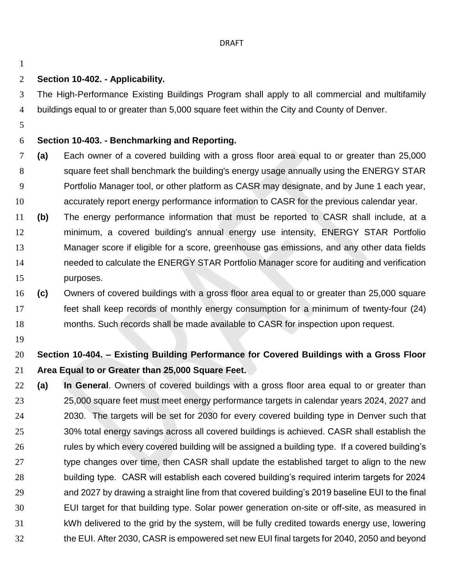## **Section 10-402. - Applicability.**

 The High-Performance Existing Buildings Program shall apply to all commercial and multifamily buildings equal to or greater than 5,000 square feet within the City and County of Denver.

## **Section 10-403. - Benchmarking and Reporting.**

- **(a)** Each owner of a covered building with a gross floor area equal to or greater than 25,000 square feet shall benchmark the building's energy usage annually using the ENERGY STAR Portfolio Manager tool, or other platform as CASR may designate, and by June 1 each year, accurately report energy performance information to CASR for the previous calendar year.
- **(b)** The energy performance information that must be reported to CASR shall include, at a minimum, a covered building's annual energy use intensity, ENERGY STAR Portfolio Manager score if eligible for a score, greenhouse gas emissions, and any other data fields needed to calculate the ENERGY STAR Portfolio Manager score for auditing and verification purposes.
- **(c)** Owners of covered buildings with a gross floor area equal to or greater than 25,000 square feet shall keep records of monthly energy consumption for a minimum of twenty-four (24) months. Such records shall be made available to CASR for inspection upon request.
- 

# **Section 10-404. – Existing Building Performance for Covered Buildings with a Gross Floor Area Equal to or Greater than 25,000 Square Feet.**

 **(a) In General**. Owners of covered buildings with a gross floor area equal to or greater than 25,000 square feet must meet energy performance targets in calendar years 2024, 2027 and 2030. The targets will be set for 2030 for every covered building type in Denver such that 30% total energy savings across all covered buildings is achieved. CASR shall establish the rules by which every covered building will be assigned a building type. If a covered building's type changes over time, then CASR shall update the established target to align to the new building type. CASR will establish each covered building's required interim targets for 2024 and 2027 by drawing a straight line from that covered building's 2019 baseline EUI to the final EUI target for that building type. Solar power generation on-site or off-site, as measured in kWh delivered to the grid by the system, will be fully credited towards energy use, lowering the EUI. After 2030, CASR is empowered set new EUI final targets for 2040, 2050 and beyond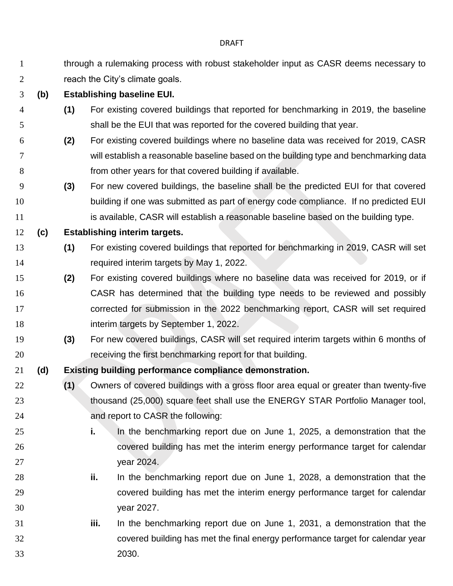| 1              |     | through a rulemaking process with robust stakeholder input as CASR deems necessary to |                                                                                       |  |  |
|----------------|-----|---------------------------------------------------------------------------------------|---------------------------------------------------------------------------------------|--|--|
| $\overline{2}$ |     | reach the City's climate goals.                                                       |                                                                                       |  |  |
| 3              | (b) | <b>Establishing baseline EUI.</b>                                                     |                                                                                       |  |  |
| $\overline{4}$ |     | (1)                                                                                   | For existing covered buildings that reported for benchmarking in 2019, the baseline   |  |  |
| 5              |     |                                                                                       | shall be the EUI that was reported for the covered building that year.                |  |  |
| 6              |     | (2)                                                                                   | For existing covered buildings where no baseline data was received for 2019, CASR     |  |  |
| 7              |     |                                                                                       | will establish a reasonable baseline based on the building type and benchmarking data |  |  |
| 8              |     |                                                                                       | from other years for that covered building if available.                              |  |  |
| 9              |     | (3)                                                                                   | For new covered buildings, the baseline shall be the predicted EUI for that covered   |  |  |
| 10             |     |                                                                                       | building if one was submitted as part of energy code compliance. If no predicted EUI  |  |  |
| 11             |     |                                                                                       | is available, CASR will establish a reasonable baseline based on the building type.   |  |  |
| 12             | (c) |                                                                                       | <b>Establishing interim targets.</b>                                                  |  |  |
| 13             |     | (1)                                                                                   | For existing covered buildings that reported for benchmarking in 2019, CASR will set  |  |  |
| 14             |     |                                                                                       | required interim targets by May 1, 2022.                                              |  |  |
| 15             |     | (2)                                                                                   | For existing covered buildings where no baseline data was received for 2019, or if    |  |  |
| 16             |     |                                                                                       | CASR has determined that the building type needs to be reviewed and possibly          |  |  |
| 17             |     |                                                                                       | corrected for submission in the 2022 benchmarking report, CASR will set required      |  |  |
| 18             |     |                                                                                       | interim targets by September 1, 2022.                                                 |  |  |
| 19             |     | (3)                                                                                   | For new covered buildings, CASR will set required interim targets within 6 months of  |  |  |
| 20             |     |                                                                                       | receiving the first benchmarking report for that building.                            |  |  |
| 21             | (d) |                                                                                       | Existing building performance compliance demonstration.                               |  |  |
| 22             |     | (1)                                                                                   | Owners of covered buildings with a gross floor area equal or greater than twenty-five |  |  |
| 23             |     |                                                                                       | thousand (25,000) square feet shall use the ENERGY STAR Portfolio Manager tool,       |  |  |
| 24             |     |                                                                                       | and report to CASR the following:                                                     |  |  |
| 25             |     |                                                                                       | i.<br>In the benchmarking report due on June 1, 2025, a demonstration that the        |  |  |
| 26             |     |                                                                                       | covered building has met the interim energy performance target for calendar           |  |  |
| 27             |     |                                                                                       | year 2024.                                                                            |  |  |
| 28             |     |                                                                                       | In the benchmarking report due on June 1, 2028, a demonstration that the<br>ii.       |  |  |
| 29             |     |                                                                                       | covered building has met the interim energy performance target for calendar           |  |  |
| 30             |     |                                                                                       | year 2027.                                                                            |  |  |
| 31             |     |                                                                                       | iii.<br>In the benchmarking report due on June 1, 2031, a demonstration that the      |  |  |
| 32             |     |                                                                                       | covered building has met the final energy performance target for calendar year        |  |  |
| 33             |     |                                                                                       | 2030.                                                                                 |  |  |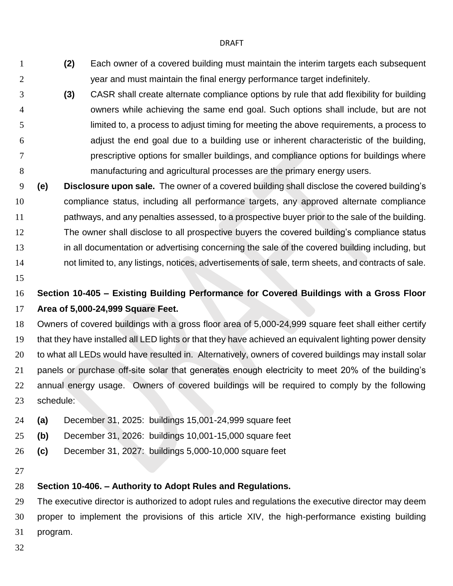- **(2)** Each owner of a covered building must maintain the interim targets each subsequent year and must maintain the final energy performance target indefinitely.
- **(3)** CASR shall create alternate compliance options by rule that add flexibility for building owners while achieving the same end goal. Such options shall include, but are not limited to, a process to adjust timing for meeting the above requirements, a process to adjust the end goal due to a building use or inherent characteristic of the building, prescriptive options for smaller buildings, and compliance options for buildings where manufacturing and agricultural processes are the primary energy users.
- **(e) Disclosure upon sale.** The owner of a covered building shall disclose the covered building's compliance status, including all performance targets, any approved alternate compliance pathways, and any penalties assessed, to a prospective buyer prior to the sale of the building. The owner shall disclose to all prospective buyers the covered building's compliance status in all documentation or advertising concerning the sale of the covered building including, but not limited to, any listings, notices, advertisements of sale, term sheets, and contracts of sale.
- 
- **Section 10-405 – Existing Building Performance for Covered Buildings with a Gross Floor Area of 5,000-24,999 Square Feet.**
- Owners of covered buildings with a gross floor area of 5,000-24,999 square feet shall either certify that they have installed all LED lights or that they have achieved an equivalent lighting power density to what all LEDs would have resulted in. Alternatively, owners of covered buildings may install solar panels or purchase off-site solar that generates enough electricity to meet 20% of the building's annual energy usage. Owners of covered buildings will be required to comply by the following schedule:
- **(a)** December 31, 2025: buildings 15,001-24,999 square feet
- **(b)** December 31, 2026: buildings 10,001-15,000 square feet
- **(c)** December 31, 2027: buildings 5,000-10,000 square feet
- 

## **Section 10-406. – Authority to Adopt Rules and Regulations.**

 The executive director is authorized to adopt rules and regulations the executive director may deem proper to implement the provisions of this article XIV, the high-performance existing building program.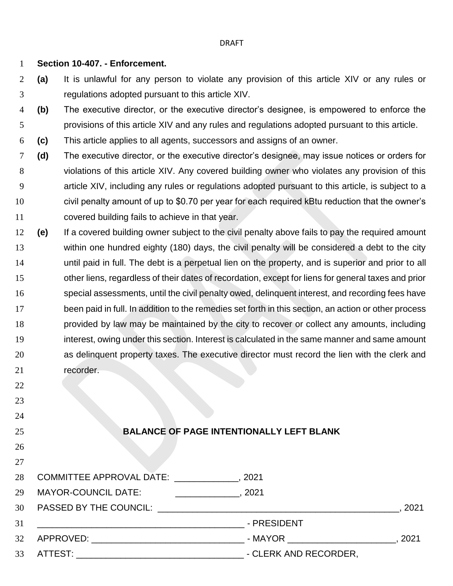## **Section 10-407. - Enforcement.**

- **(a)** It is unlawful for any person to violate any provision of this article XIV or any rules or regulations adopted pursuant to this article XIV.
- **(b)** The executive director, or the executive director's designee, is empowered to enforce the provisions of this article XIV and any rules and regulations adopted pursuant to this article.
- **(c)** This article applies to all agents, successors and assigns of an owner.
- **(d)** The executive director, or the executive director's designee, may issue notices or orders for violations of this article XIV. Any covered building owner who violates any provision of this article XIV, including any rules or regulations adopted pursuant to this article, is subject to a civil penalty amount of up to \$0.70 per year for each required kBtu reduction that the owner's covered building fails to achieve in that year.
- **(e)** If a covered building owner subject to the civil penalty above fails to pay the required amount within one hundred eighty (180) days, the civil penalty will be considered a debt to the city until paid in full. The debt is a perpetual lien on the property, and is superior and prior to all other liens, regardless of their dates of recordation, except for liens for general taxes and prior special assessments, until the civil penalty owed, delinquent interest, and recording fees have been paid in full. In addition to the remedies set forth in this section, an action or other process provided by law may be maintained by the city to recover or collect any amounts, including interest, owing under this section. Interest is calculated in the same manner and same amount as delinquent property taxes. The executive director must record the lien with the clerk and recorder.
- 
- 

# 

# 

## **BALANCE OF PAGE INTENTIONALLY LEFT BLANK**

|    | 28 COMMITTEE APPROVAL DATE: 3021 |                                                      |      |
|----|----------------------------------|------------------------------------------------------|------|
|    | 29 MAYOR-COUNCIL DATE:           | . 2021<br><u> 1986 - Alexandr Alexandr III, poet</u> |      |
|    |                                  |                                                      | 2021 |
| 31 |                                  | - PRESIDENT                                          |      |
|    |                                  | - MAYOR ___________________                          | 2021 |
| 33 |                                  | - CLERK AND RECORDER,                                |      |